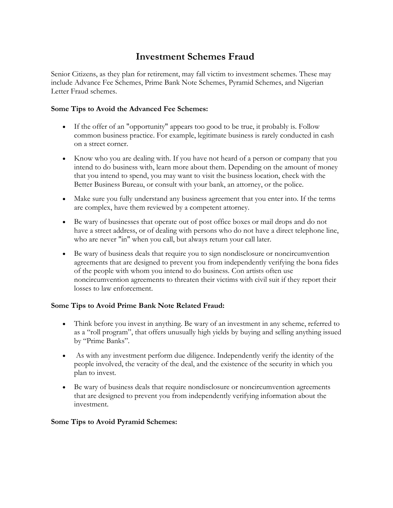# **Investment Schemes Fraud**

Senior Citizens, as they plan for retirement, may fall victim to investment schemes. These may include Advance Fee Schemes, Prime Bank Note Schemes, Pyramid Schemes, and Nigerian Letter Fraud schemes.

#### **Some Tips to Avoid the Advanced Fee Schemes:**

- If the offer of an "opportunity" appears too good to be true, it probably is. Follow common business practice. For example, legitimate business is rarely conducted in cash on a street corner.
- Know who you are dealing with. If you have not heard of a person or company that you intend to do business with, learn more about them. Depending on the amount of money that you intend to spend, you may want to visit the business location, check with the Better Business Bureau, or consult with your bank, an attorney, or the police.
- Make sure you fully understand any business agreement that you enter into. If the terms are complex, have them reviewed by a competent attorney.
- Be wary of businesses that operate out of post office boxes or mail drops and do not have a street address, or of dealing with persons who do not have a direct telephone line, who are never "in" when you call, but always return your call later.
- Be wary of business deals that require you to sign nondisclosure or noncircumvention agreements that are designed to prevent you from independently verifying the bona fides of the people with whom you intend to do business. Con artists often use noncircumvention agreements to threaten their victims with civil suit if they report their losses to law enforcement.

## **Some Tips to Avoid Prime Bank Note Related Fraud:**

- Think before you invest in anything. Be wary of an investment in any scheme, referred to as a "roll program", that offers unusually high yields by buying and selling anything issued by "Prime Banks".
- As with any investment perform due diligence. Independently verify the identity of the people involved, the veracity of the deal, and the existence of the security in which you plan to invest.
- Be wary of business deals that require nondisclosure or noncircumvention agreements that are designed to prevent you from independently verifying information about the investment.

#### **Some Tips to Avoid Pyramid Schemes:**